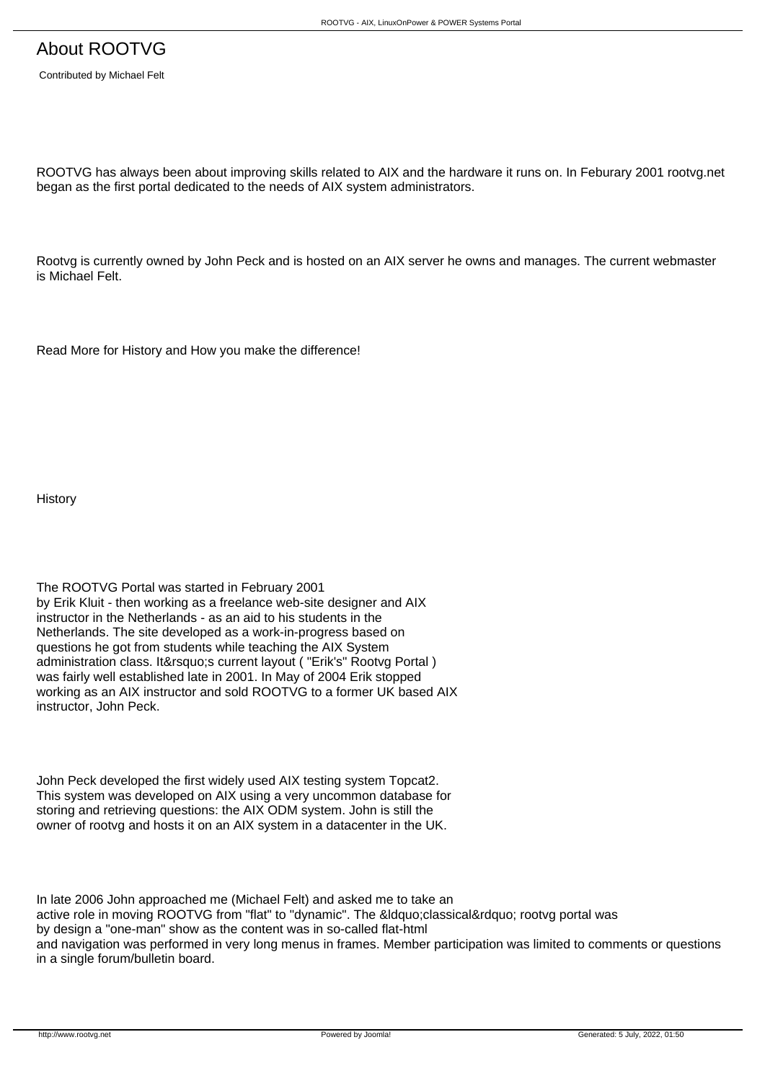Contributed by Michael Felt

ROOTVG has always been about improving skills related to AIX and the hardware it runs on. In Feburary 2001 rootvg.net began as the first portal dedicated to the needs of AIX system administrators.

Rootvg is currently owned by John Peck and is hosted on an AIX server he owns and manages. The current webmaster is Michael Felt.

Read More for History and How you make the difference!

**History** 

The ROOTVG Portal was started in February 2001 by Erik Kluit - then working as a freelance web-site designer and AIX instructor in the Netherlands - as an aid to his students in the Netherlands. The site developed as a work-in-progress based on questions he got from students while teaching the AIX System administration class. It's current layout ( "Erik's" Rootvg Portal ) was fairly well established late in 2001. In May of 2004 Erik stopped working as an AIX instructor and sold ROOTVG to a former UK based AIX instructor, John Peck.

John Peck developed the first widely used AIX testing system Topcat2. This system was developed on AIX using a very uncommon database for storing and retrieving questions: the AIX ODM system. John is still the owner of rootvg and hosts it on an AIX system in a datacenter in the UK.

In late 2006 John approached me (Michael Felt) and asked me to take an active role in moving ROOTVG from "flat" to "dynamic". The "classical" rootvg portal was by design a "one-man" show as the content was in so-called flat-html and navigation was performed in very long menus in frames. Member participation was limited to comments or questions in a single forum/bulletin board.